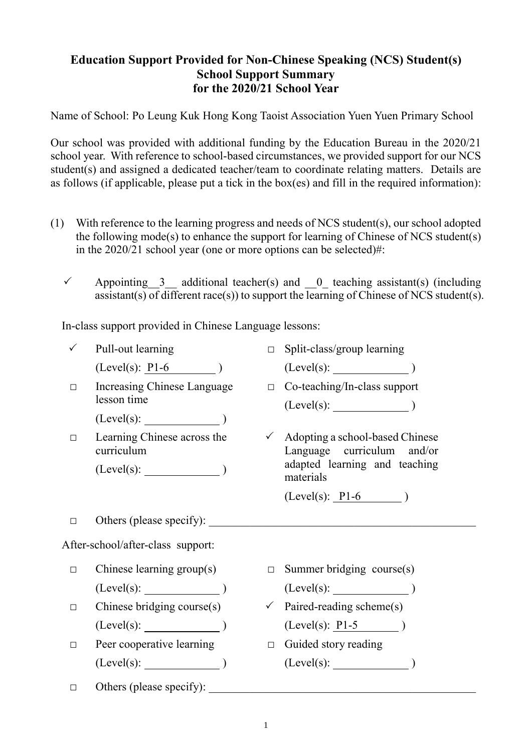## **Education Support Provided for Non-Chinese Speaking (NCS) Student(s) School Support Summary for the 2020/21 School Year**

Name of School: Po Leung Kuk Hong Kong Taoist Association Yuen Yuen Primary School

Our school was provided with additional funding by the Education Bureau in the 2020/21 school year. With reference to school-based circumstances, we provided support for our NCS student(s) and assigned a dedicated teacher/team to coordinate relating matters. Details are as follows (if applicable, please put a tick in the box(es) and fill in the required information):

- (1) With reference to the learning progress and needs of NCS student(s), our school adopted the following mode(s) to enhance the support for learning of Chinese of NCS student(s) in the 2020/21 school year (one or more options can be selected)#:
	- $\checkmark$  Appointing 3 additional teacher(s) and 0 teaching assistant(s) (including assistant(s) of different race(s)) to support the learning of Chinese of NCS student(s).

In-class support provided in Chinese Language lessons:

|                                   | Pull-out learning                          | $\Box$ | Split-class/group learning                                                 |
|-----------------------------------|--------------------------------------------|--------|----------------------------------------------------------------------------|
|                                   | $(Level(s): P1-6)$                         |        | (Level(s):                                                                 |
| $\Box$                            | Increasing Chinese Language<br>lesson time |        | $\Box$ Co-teaching/In-class support<br>$(Level(s):$ (Level(s):             |
|                                   | (Level(s):                                 |        |                                                                            |
| $\Box$                            | Learning Chinese across the<br>curriculum  |        | $\checkmark$ Adopting a school-based Chinese<br>Language curriculum and/or |
|                                   | $(Level(s):$ (Level(s): $)$                |        | adapted learning and teaching<br>materials                                 |
|                                   |                                            |        | $(Level(s): P1-6)$                                                         |
| □                                 | Others (please specify):                   |        |                                                                            |
| After-school/after-class support: |                                            |        |                                                                            |
| $\Box$                            | Chinese learning group(s)                  | $\Box$ | Summer bridging course(s)                                                  |
|                                   | $(Level(s):$ )                             |        | (Level(s):                                                                 |
| □                                 | Chinese bridging course(s)                 |        | $\checkmark$ Paired-reading scheme(s)                                      |
|                                   | $(Level(s):$ )                             |        | $(Level(s): P1-5)$                                                         |
| $\Box$                            | Peer cooperative learning                  |        | $\Box$ Guided story reading                                                |
|                                   | (Level(s):                                 |        | (Level(s):                                                                 |
| □                                 | Others (please specify):                   |        |                                                                            |